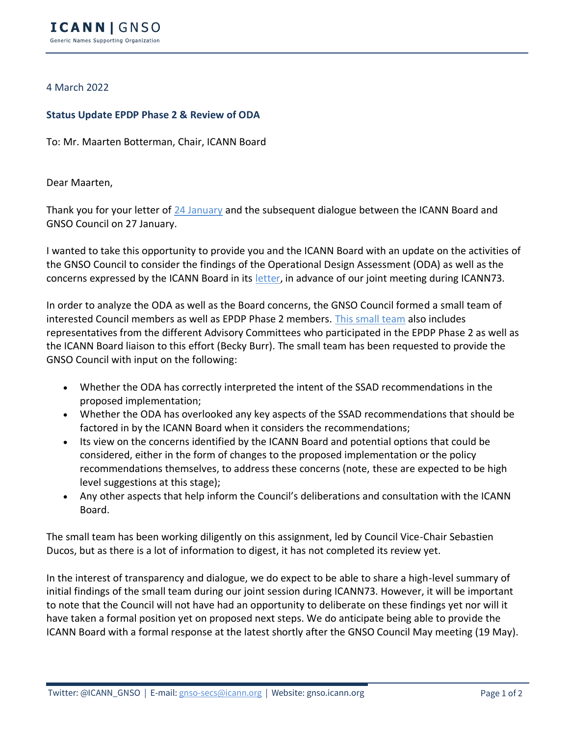## 4 March 2022

## **Status Update EPDP Phase 2 & Review of ODA**

To: Mr. Maarten Botterman, Chair, ICANN Board

Dear Maarten,

Thank you for your letter of [24 January](https://gnso.icann.org/sites/default/files/policy/2022/correspondence/botterman-to-fouquart-24jan22-en.pdf) and the subsequent dialogue between the ICANN Board and GNSO Council on 27 January.

I wanted to take this opportunity to provide you and the ICANN Board with an update on the activities of the GNSO Council to consider the findings of the Operational Design Assessment (ODA) as well as the concerns expressed by the ICANN Board in its [letter,](https://gnso.icann.org/sites/default/files/policy/2022/correspondence/botterman-to-fouquart-24jan22-en.pdf) in advance of our joint meeting during ICANN73.

In order to analyze the ODA as well as the Board concerns, the GNSO Council formed a small team of interested Council members as well as EPDP Phase 2 members. [This small team](https://community.icann.org/pages/viewpage.action?pageId=186779410) also includes representatives from the different Advisory Committees who participated in the EPDP Phase 2 as well as the ICANN Board liaison to this effort (Becky Burr). The small team has been requested to provide the GNSO Council with input on the following:

- Whether the ODA has correctly interpreted the intent of the SSAD recommendations in the proposed implementation;
- Whether the ODA has overlooked any key aspects of the SSAD recommendations that should be factored in by the ICANN Board when it considers the recommendations;
- Its view on the concerns identified by the ICANN Board and potential options that could be considered, either in the form of changes to the proposed implementation or the policy recommendations themselves, to address these concerns (note, these are expected to be high level suggestions at this stage);
- Any other aspects that help inform the Council's deliberations and consultation with the ICANN Board.

The small team has been working diligently on this assignment, led by Council Vice-Chair Sebastien Ducos, but as there is a lot of information to digest, it has not completed its review yet.

In the interest of transparency and dialogue, we do expect to be able to share a high-level summary of initial findings of the small team during our joint session during ICANN73. However, it will be important to note that the Council will not have had an opportunity to deliberate on these findings yet nor will it have taken a formal position yet on proposed next steps. We do anticipate being able to provide the ICANN Board with a formal response at the latest shortly after the GNSO Council May meeting (19 May).